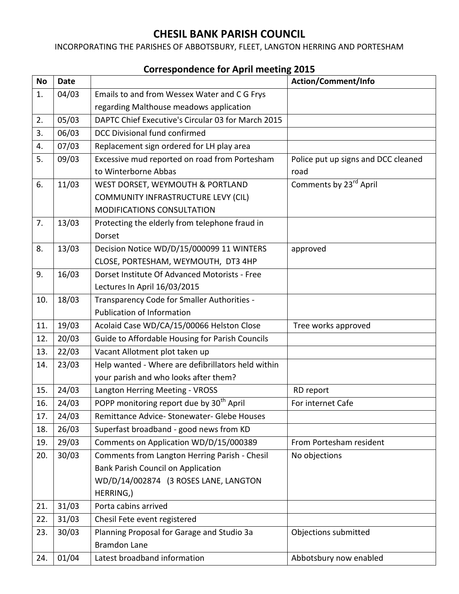## **CHESIL BANK PARISH COUNCIL**

INCORPORATING THE PARISHES OF ABBOTSBURY, FLEET, LANGTON HERRING AND PORTESHAM

## **No Date Action/Comment/Info** 1. 04/03 Emails to and from Wessex Water and C G Frys regarding Malthouse meadows application 2. 05/03 DAPTC Chief Executive's Circular 03 for March 2015 3. 06/03 DCC Divisional fund confirmed 4.  $\vert$  07/03  $\vert$  Replacement sign ordered for LH play area 5. 09/03 Excessive mud reported on road from Portesham to Winterborne Abbas Police put up signs and DCC cleaned road 6. 11/03 WEST DORSET, WEYMOUTH & PORTLAND COMMUNITY INFRASTRUCTURE LEVY (CIL) MODIFICATIONS CONSULTATION Comments by 23<sup>rd</sup> April 7.  $\vert$  13/03  $\vert$  Protecting the elderly from telephone fraud in Dorset 8. 13/03 Decision Notice WD/D/15/000099 11 WINTERS CLOSE, PORTESHAM, WEYMOUTH, DT3 4HP approved 9. 16/03 Dorset Institute Of Advanced Motorists - Free Lectures In April 16/03/2015 10. 18/03 Transparency Code for Smaller Authorities - Publication of Information 11. | 19/03 | Acolaid Case WD/CA/15/00066 Helston Close | Tree works approved 12. 20/03 Guide to Affordable Housing for Parish Councils 13. 22/03 Vacant Allotment plot taken up 14. 23/03 | Help wanted - Where are defibrillators held within your parish and who looks after them? 15. 24/03 | Langton Herring Meeting - VROSS | RD report 16.  $\vert$  24/03 POPP monitoring report due by 30<sup>th</sup> April For internet Cafe 17. 24/03 Remittance Advice-Stonewater- Glebe Houses 18.  $\sqrt{26/03}$  Superfast broadband - good news from KD 19. | 29/03 | Comments on Application WD/D/15/000389 | From Portesham resident 20. 30/03 Comments from Langton Herring Parish - Chesil No objections

Objections submitted

Bank Parish Council on Application

23. 30/03 Planning Proposal for Garage and Studio 3a

HERRING,)

22. 31/03 | Chesil Fete event registered

Bramdon Lane

21. 31/03 Porta cabins arrived

WD/D/14/002874 (3 ROSES LANE, LANGTON

24. | 01/04 | Latest broadband information | Abbotsbury now enabled

## **Correspondence for April meeting 2015**